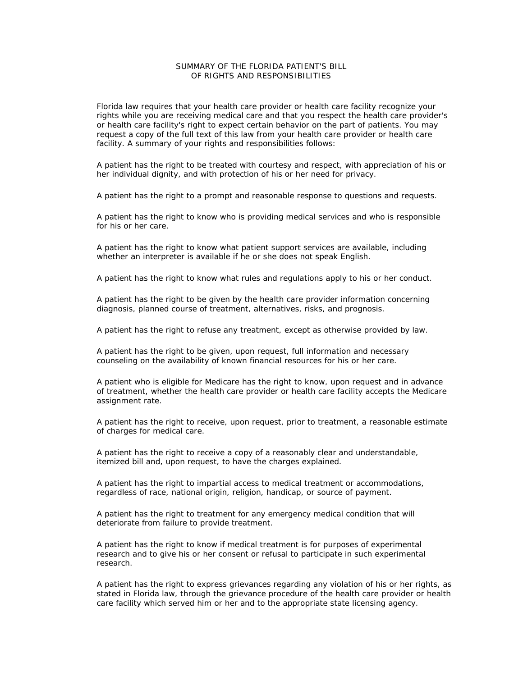## SUMMARY OF THE FLORIDA PATIENT'S BILL OF RIGHTS AND RESPONSIBILITIES

Florida law requires that your health care provider or health care facility recognize your rights while you are receiving medical care and that you respect the health care provider's or health care facility's right to expect certain behavior on the part of patients. You may request a copy of the full text of this law from your health care provider or health care facility. A summary of your rights and responsibilities follows:

A patient has the right to be treated with courtesy and respect, with appreciation of his or her individual dignity, and with protection of his or her need for privacy.

A patient has the right to a prompt and reasonable response to questions and requests.

A patient has the right to know who is providing medical services and who is responsible for his or her care.

A patient has the right to know what patient support services are available, including whether an interpreter is available if he or she does not speak English.

A patient has the right to know what rules and regulations apply to his or her conduct.

A patient has the right to be given by the health care provider information concerning diagnosis, planned course of treatment, alternatives, risks, and prognosis.

A patient has the right to refuse any treatment, except as otherwise provided by law.

A patient has the right to be given, upon request, full information and necessary counseling on the availability of known financial resources for his or her care.

A patient who is eligible for Medicare has the right to know, upon request and in advance of treatment, whether the health care provider or health care facility accepts the Medicare assignment rate.

A patient has the right to receive, upon request, prior to treatment, a reasonable estimate of charges for medical care.

A patient has the right to receive a copy of a reasonably clear and understandable, itemized bill and, upon request, to have the charges explained.

A patient has the right to impartial access to medical treatment or accommodations, regardless of race, national origin, religion, handicap, or source of payment.

A patient has the right to treatment for any emergency medical condition that will deteriorate from failure to provide treatment.

A patient has the right to know if medical treatment is for purposes of experimental research and to give his or her consent or refusal to participate in such experimental research.

A patient has the right to express grievances regarding any violation of his or her rights, as stated in Florida law, through the grievance procedure of the health care provider or health care facility which served him or her and to the appropriate state licensing agency.